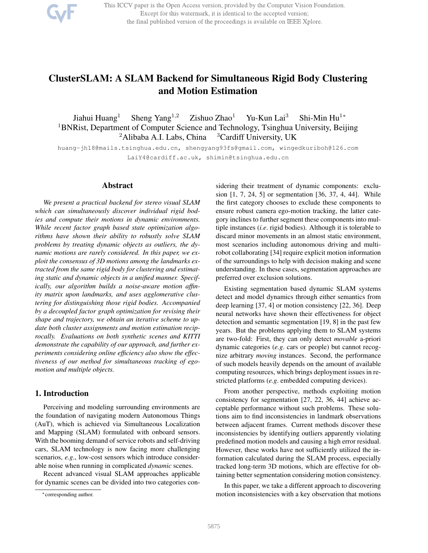This ICCV paper is the Open Access version, provided by the Computer Vision Foundation. Except for this watermark, it is identical to the accepted version; the final published version of the proceedings is available on IEEE Xplore.

# ClusterSLAM: A SLAM Backend for Simultaneous Rigid Body Clustering and Motion Estimation

Jiahui Huang<sup>1</sup> Sheng Yang<sup>1,2</sup> Zishuo Zhao<sup>1</sup> Yu-Kun Lai<sup>3</sup> Shi-Min Hu<sup>1</sup><sup>\*</sup> <sup>1</sup>BNRist, Department of Computer Science and Technology, Tsinghua University, Beijing <sup>2</sup>Alibaba A.I. Labs, China  $3$ Cardiff University, UK

huang-jh18@mails.tsinghua.edu.cn, shengyang93fs@gmail.com, wingedkuriboh@126.com LaiY4@cardiff.ac.uk, shimin@tsinghua.edu.cn

# Abstract

*We present a practical backend for stereo visual SLAM which can simultaneously discover individual rigid bodies and compute their motions in dynamic environments. While recent factor graph based state optimization algorithms have shown their ability to robustly solve SLAM problems by treating dynamic objects as outliers, the dynamic motions are rarely considered. In this paper, we exploit the consensus of 3D motions among the landmarks extracted from the same rigid body for clustering and estimating static and dynamic objects in a unified manner. Specifically, our algorithm builds a noise-aware motion affinity matrix upon landmarks, and uses agglomerative clustering for distinguishing those rigid bodies. Accompanied by a decoupled factor graph optimization for revising their shape and trajectory, we obtain an iterative scheme to update both cluster assignments and motion estimation reciprocally. Evaluations on both synthetic scenes and KITTI demonstrate the capability of our approach, and further experiments considering online efficiency also show the effectiveness of our method for simultaneous tracking of egomotion and multiple objects.*

# 1. Introduction

Perceiving and modeling surrounding environments are the foundation of navigating modern Autonomous Things (AuT), which is achieved via Simultaneous Localization and Mapping (SLAM) formulated with onboard sensors. With the booming demand of service robots and self-driving cars, SLAM technology is now facing more challenging scenarios, *e.g*., low-cost sensors which introduce considerable noise when running in complicated *dynamic* scenes.

Recent advanced visual SLAM approaches applicable for dynamic scenes can be divided into two categories considering their treatment of dynamic components: exclusion [1, 7, 24, 5] or segmentation [36, 37, 4, 44]. While the first category chooses to exclude these components to ensure robust camera ego-motion tracking, the latter category inclines to further segment these components into multiple instances (*i.e*. rigid bodies). Although it is tolerable to discard minor movements in an almost static environment, most scenarios including autonomous driving and multirobot collaborating [34] require explicit motion information of the surroundings to help with decision making and scene understanding. In these cases, segmentation approaches are preferred over exclusion solutions.

Existing segmentation based dynamic SLAM systems detect and model dynamics through either semantics from deep learning [37, 4] or motion consistency [22, 36]. Deep neural networks have shown their effectiveness for object detection and semantic segmentation [19, 8] in the past few years. But the problems applying them to SLAM systems are two-fold: First, they can only detect *movable* a-priori dynamic categories (*e.g*. cars or people) but cannot recognize arbitrary *moving* instances. Second, the performance of such models heavily depends on the amount of available computing resources, which brings deployment issues in restricted platforms (*e.g*. embedded computing devices).

From another perspective, methods exploiting motion consistency for segmentation [27, 22, 36, 44] achieve acceptable performance without such problems. These solutions aim to find inconsistencies in landmark observations between adjacent frames. Current methods discover these inconsistencies by identifying outliers apparently violating predefined motion models and causing a high error residual. However, these works have not sufficiently utilized the information calculated during the SLAM process, especially tracked long-term 3D motions, which are effective for obtaining better segmentation considering motion consistency.

In this paper, we take a different approach to discovering motion inconsistencies with a key observation that motions

<sup>∗</sup>corresponding author.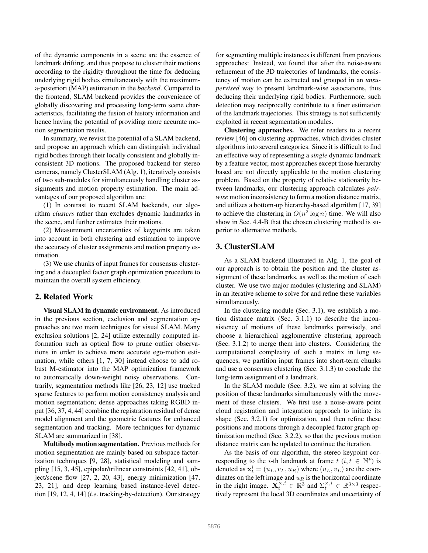of the dynamic components in a scene are the essence of landmark drifting, and thus propose to cluster their motions according to the rigidity throughout the time for deducing underlying rigid bodies simultaneously with the maximuma-posteriori (MAP) estimation in the *backend*. Compared to the frontend, SLAM backend provides the convenience of globally discovering and processing long-term scene characteristics, facilitating the fusion of history information and hence having the potential of providing more accurate motion segmentation results.

In summary, we revisit the potential of a SLAM backend, and propose an approach which can distinguish individual rigid bodies through their locally consistent and globally inconsistent 3D motions. The proposed backend for stereo cameras, namely ClusterSLAM (Alg. 1), iteratively consists of two sub-modules for simultaneously handling cluster assignments and motion property estimation. The main advantages of our proposed algorithm are:

(1) In contrast to recent SLAM backends, our algorithm *clusters* rather than excludes dynamic landmarks in the scene, and further estimates their motions.

(2) Measurement uncertainties of keypoints are taken into account in both clustering and estimation to improve the accuracy of cluster assignments and motion property estimation.

(3) We use chunks of input frames for consensus clustering and a decoupled factor graph optimization procedure to maintain the overall system efficiency.

# 2. Related Work

Visual SLAM in dynamic environment. As introduced in the previous section, exclusion and segmentation approaches are two main techniques for visual SLAM. Many exclusion solutions [2, 24] utilize externally computed information such as optical flow to prune outlier observations in order to achieve more accurate ego-motion estimation, while others [1, 7, 30] instead choose to add robust M-estimator into the MAP optimization framework to automatically down-weight noisy observations. Contrarily, segmentation methods like [26, 23, 12] use tracked sparse features to perform motion consistency analysis and motion segmentation; dense approaches taking RGBD input [36, 37, 4, 44] combine the registration residual of dense model alignment and the geometric features for enhanced segmentation and tracking. More techniques for dynamic SLAM are summarized in [38].

Multibody motion segmentation. Previous methods for motion segmentation are mainly based on subspace factorization techniques [9, 28], statistical modeling and sampling [15, 3, 45], epipolar/trilinear constraints [42, 41], object/scene flow [27, 2, 20, 43], energy minimization [47, 23, 21], and deep learning based instance-level detection [19, 12, 4, 14] (*i.e*. tracking-by-detection). Our strategy

for segmenting multiple instances is different from previous approaches: Instead, we found that after the noise-aware refinement of the 3D trajectories of landmarks, the consistency of motion can be extracted and grouped in an *unsupervised* way to present landmark-wise associations, thus deducing their underlying rigid bodies. Furthermore, such detection may reciprocally contribute to a finer estimation of the landmark trajectories. This strategy is not sufficiently exploited in recent segmentation modules.

Clustering approaches. We refer readers to a recent review [46] on clustering approaches, which divides cluster algorithms into several categories. Since it is difficult to find an effective way of representing a *single* dynamic landmark by a feature vector, most approaches except those hierarchy based are not directly applicable to the motion clustering problem. Based on the property of relative stationarity between landmarks, our clustering approach calculates *pairwise* motion inconsistency to form a motion distance matrix, and utilizes a bottom-up hierarchy-based algorithm [17, 39] to achieve the clustering in  $O(n^2 \log n)$  time. We will also show in Sec. 4.4-B that the chosen clustering method is superior to alternative methods.

# 3. ClusterSLAM

As a SLAM backend illustrated in Alg. 1, the goal of our approach is to obtain the position and the cluster assignment of these landmarks, as well as the motion of each cluster. We use two major modules (clustering and SLAM) in an iterative scheme to solve for and refine these variables simultaneously.

In the clustering module (Sec. 3.1), we establish a motion distance matrix (Sec. 3.1.1) to describe the inconsistency of motions of these landmarks pairwisely, and choose a hierarchical agglomerative clustering approach (Sec. 3.1.2) to merge them into clusters. Considering the computational complexity of such a matrix in long sequences, we partition input frames into short-term chunks and use a consensus clustering (Sec. 3.1.3) to conclude the long-term assignment of a landmark.

In the SLAM module (Sec. 3.2), we aim at solving the position of these landmarks simultaneously with the movement of these clusters. We first use a noise-aware point cloud registration and integration approach to initiate its shape (Sec. 3.2.1) for optimization, and then refine these positions and motions through a decoupled factor graph optimization method (Sec. 3.2.2), so that the previous motion distance matrix can be updated to continue the iteration.

As the basis of our algorithm, the stereo keypoint corresponding to the *i*-th landmark at frame  $t$  ( $i, t \in \mathbb{N}^*$ ) is denoted as  $\mathbf{x}_t^i = (u_L, v_L, u_R)$  where  $(u_L, v_L)$  are the coordinates on the left image and  $u_R$  is the horizontal coordinate in the right image.  $\mathbf{X}_t^{\times,i} \in \mathbb{R}^3$  and  $\Sigma_t^{\times,i} \in \mathbb{R}^{3 \times 3}$  respectively represent the local 3D coordinates and uncertainty of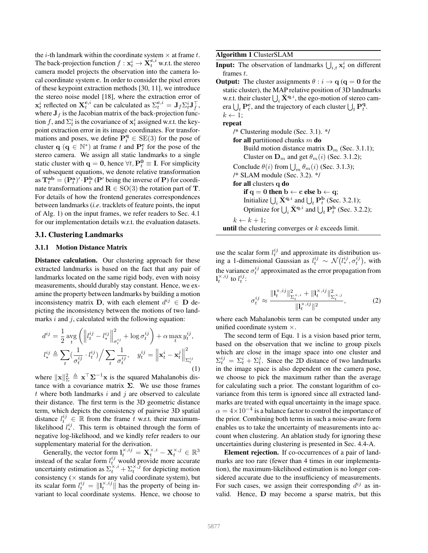the *i*-th landmark within the coordinate system  $\times$  at frame *t*. The back-projection function  $f: \mathbf{x}_t^i \rightarrow \mathbf{X}_t^{\mathbf{c},i}$  w.r.t. the stereo camera model projects the observation into the camera local coordinate system c. In order to consider the pixel errors of these keypoint extraction methods [30, 11], we introduce the stereo noise model [18], where the extraction error of  $\mathbf{x}_t^i$  reflected on  $\mathbf{X}_t^{\mathbf{c},i}$  can be calculated as  $\Sigma_t^{\mathbf{c},i} = \mathbf{J}_f \Sigma_t^i \mathbf{J}_f^\top$ , where  $J_f$  is the Jacobian matrix of the back-projection function f, and  $\Sigma_t^i$  is the covariance of  $\mathbf{x}_t^i$  assigned w.r.t. the keypoint extraction error in its image coordinates. For transformations and poses, we define  $\mathbf{P}_t^{\mathbf{q}} \in \text{SE}(3)$  for the pose of cluster  $\mathbf{q}$  ( $\mathbf{q} \in \mathbb{N}^*$ ) at frame t and  $\mathbf{P}_t^{\mathbf{c}}$  for the pose of the stereo camera. We assign all static landmarks to a single static cluster with  $\mathbf{q} = \mathbf{0}$ , hence  $\forall t, \mathbf{P}_t^0 \equiv \mathbf{I}$ . For simplicity of subsequent equations, we denote relative transformation as  $\mathbf{T}_t^{\mathbf{ab}} = (\mathbf{P}_t^{\mathbf{a}})' \cdot \mathbf{P}_t^{\mathbf{b}}$  (P' being the inverse of P) for coordinate transformations and  $\mathbf{R} \in SO(3)$  the rotation part of T. For details of how the frontend generates correspondences between landmarks (*i.e*. tracklets of feature points, the input of Alg. 1) on the input frames, we refer readers to Sec. 4.1 for our implementation details w.r.t. the evaluation datasets.

## 3.1. Clustering Landmarks

## 3.1.1 Motion Distance Matrix

Distance calculation. Our clustering approach for these extracted landmarks is based on the fact that any pair of landmarks located on the same rigid body, even with noisy measurements, should durably stay constant. Hence, we examine the property between landmarks by building a motion inconsistency matrix **D**, with each element  $d^{ij} \in$  **D** depicting the inconsistency between the motions of two landmarks  $i$  and  $j$ , calculated with the following equation:

$$
d^{ij} = \frac{1}{2} \arg \left( \left\| l_t^{ij} - l_*^{ij} \right\|_{\sigma_t^{ij}}^2 + \log \sigma_t^{ij} \right) + \alpha \max_t y_t^{ij},
$$
  

$$
l_*^{ij} \triangleq \sum_t \left( \frac{1}{\sigma_t^{ij}} \cdot l_t^{ij} \right) / \sum_t \frac{1}{\sigma_t^{ij}}, \quad y_t^{ij} = \left\| \mathbf{x}_t^i - \mathbf{x}_t^j \right\|_{\Sigma_t^{ij}}^2
$$
  
(1)

where  $\|\mathbf{x}\|_{\Sigma}^2 \triangleq \mathbf{x}^{\top} \Sigma^{-1} \mathbf{x}$  is the squared Mahalanobis distance with a covariance matrix  $\Sigma$ . We use those frames t where both landmarks i and j are observed to calculate their distance. The first term is the 3D geometric distance term, which depicts the consistency of pairwise 3D spatial distance  $l_t^{ij} \in \mathbb{R}$  from the frame t w.r.t. their maximumlikelihood  $l_{*}^{ij}$ . This term is obtained through the form of negative log-likelihood, and we kindly refer readers to our supplementary material for the derivation.

Generally, the vector form  $\mathbf{l}_t^{\times, ij} = \mathbf{X}_t^{\times, i} - \mathbf{X}_t^{\times, j} \in \mathbb{R}^3$ instead of the scalar form  $l_t^{ij}$  would provide more accurate uncertainty estimation as  $\sum_{t}^{x,i} + \sum_{t}^{x,j}$  for depicting motion consistency ( $\times$  stands for any valid coordinate system), but its scalar form  $l_t^{ij} = ||\mathbf{l}_t^{\times,ij}||$  has the property of being invariant to local coordinate systems. Hence, we choose to Algorithm 1 ClusterSLAM

**Input:** The observation of landmarks  $\bigcup_{i,t} \mathbf{x}_t^i$  on different frames t.

**Output:** The cluster assignments  $\theta$  :  $i \rightarrow q$  ( $q = 0$  for the static cluster), the MAP relative position of 3D landmarks w.r.t. their cluster  $\bigcup_i \hat{\mathbf{X}}^{q,i}$ , the ego-motion of stereo camera  $\bigcup_t \mathbf{P}_t^c$ , and the trajectory of each cluster  $\bigcup_t \mathbf{P}_t^q$ .  $k \leftarrow 1$ ; repeat /\* Clustering module (Sec. 3.1). \*/ for all partitioned chunks  $m$  do Build motion distance matrix  $\mathbf{D}_m$  (Sec. 3.1.1); Cluster on  $\mathbf{D}_m$  and get  $\theta_m(i)$  (Sec. 3.1.2); Conclude  $\theta(i)$  from  $\bigcup_m \theta_m(i)$  (Sec. 3.1.3); /\* SLAM module (Sec. 3.2). \*/ for all clusters q do if  $q = 0$  then  $b \leftarrow c$  else  $b \leftarrow q$ ; Initialize  $\bigcup_i \hat{\mathbf{X}}^{\mathbf{q},i}$  and  $\bigcup_t \mathbf{P}_t^{\mathbf{b}}$  (Sec. 3.2.1); Optimize for  $\bigcup_i \hat{\mathbf{X}}^{\mathbf{q},i}$  and  $\bigcup_t \mathbf{P}_t^{\mathbf{b}}$  (Sec. 3.2.2);  $k \leftarrow k + 1;$ **until** the clustering converges or  $k$  exceeds limit.

use the scalar form  $l_t^{ij}$  and approximate its distribution using a 1-dimensional Gaussian as  $l_t^{ij} \sim \mathcal{N}(l_*^{ij}, \sigma_t^{ij})$ , with the variance  $\sigma_t^{ij}$  approximated as the error propagation from  $\mathbf{l}_t^{\times,ij}$  to  $l_t^{ij}$ :

$$
\sigma_t^{ij} \approx \frac{\|\mathbf{l}_t^{\times,ij}\|_{\Sigma_t^{\times,i}}^2 + \|\mathbf{l}_t^{\times,ij}\|_{\Sigma_t^{\times,j}}^2}{\|\mathbf{l}_t^{\times,ij}\|^2},\tag{2}
$$

where each Mahalanobis term can be computed under any unified coordinate system  $\times$ .

The second term of Equ. 1 is a vision based prior term, based on the observation that we incline to group pixels which are close in the image space into one cluster and  $\Sigma_t^{ij} = \Sigma_t^i + \Sigma_t^j$ . Since the 2D distance of two landmarks in the image space is also dependent on the camera pose, we choose to pick the maximum rather than the average for calculating such a prior. The constant logarithm of covariance from this term is ignored since all extracted landmarks are treated with equal uncertainty in the image space.  $\alpha = 4 \times 10^{-4}$  is a balance factor to control the importance of the prior. Combining both terms in such a noise-aware form enables us to take the uncertainty of measurements into account when clustering. An ablation study for ignoring these uncertainties during clustering is presented in Sec. 4.4-A.

Element rejection. If co-occurrences of a pair of landmarks are too rare (fewer than 4 times in our implementation), the maximum-likelihood estimation is no longer considered accurate due to the insufficiency of measurements. For such cases, we assign their corresponding  $d^{ij}$  as invalid. Hence, D may become a sparse matrix, but this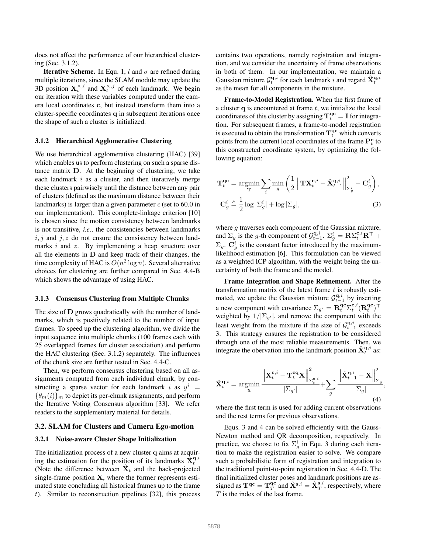does not affect the performance of our hierarchical clustering (Sec. 3.1.2).

**Iterative Scheme.** In Equ. 1, l and  $\sigma$  are refined during multiple iterations, since the SLAM module may update the 3D position  $X_t^{\times,i}$  and  $X_t^{\times,j}$  of each landmark. We begin our iteration with these variables computed under the camera local coordinates c, but instead transform them into a cluster-specific coordinates q in subsequent iterations once the shape of such a cluster is initialized.

## 3.1.2 Hierarchical Agglomerative Clustering

We use hierarchical agglomerative clustering (HAC) [39] which enables us to perform clustering on such a sparse distance matrix D. At the beginning of clustering, we take each landmark  $i$  as a cluster, and then iteratively merge these clusters pairwisely until the distance between any pair of clusters (defined as the maximum distance between their landmarks) is larger than a given parameter  $\epsilon$  (set to 60.0 in our implementation). This complete-linkage criterion [10] is chosen since the motion consistency between landmarks is not transitive, *i.e*., the consistencies between landmarks  $i, j$  and  $j, z$  do not ensure the consistency between landmarks *i* and *z*. By implementing a heap structure over all the elements in D and keep track of their changes, the time complexity of HAC is  $O(n^2 \log n)$ . Several alternative choices for clustering are further compared in Sec. 4.4-B which shows the advantage of using HAC.

#### 3.1.3 Consensus Clustering from Multiple Chunks

The size of **D** grows quadratically with the number of landmarks, which is positively related to the number of input frames. To speed up the clustering algorithm, we divide the input sequence into multiple chunks (100 frames each with 25 overlapped frames for cluster association) and perform the HAC clustering (Sec. 3.1.2) separately. The influences of the chunk size are further tested in Sec. 4.4-C.

Then, we perform consensus clustering based on all assignments computed from each individual chunk, by constructing a sparse vector for each landmark i as  $y^i$  =  $\{\theta_m(i)\}_m$  to depict its per-chunk assignments, and perform the Iterative Voting Consensus algorithm [33]. We refer readers to the supplementary material for details.

#### 3.2. SLAM for Clusters and Camera Ego-motion

#### 3.2.1 Noise-aware Cluster Shape Initialization

The initialization process of a new cluster q aims at acquiring the estimation for the position of its landmarks  $\hat{\mathbf{X}}_t^{\mathbf{q},i}$ (Note the difference between  $\hat{\mathbf{X}}_t$  and the back-projected single-frame position  $X$ , where the former represents estimated state concluding all historical frames up to the frame t). Similar to reconstruction pipelines [32], this process

contains two operations, namely registration and integration, and we consider the uncertainty of frame observations in both of them. In our implementation, we maintain a Gaussian mixture  $\mathcal{G}_t^{\mathbf{q},i}$  for each landmark i and regard  $\hat{\mathbf{X}}_t^{\mathbf{q},i}$ as the mean for all components in the mixture.

Frame-to-Model Registration. When the first frame of a cluster  $q$  is encountered at frame  $t$ , we initialize the local coordinates of this cluster by assigning  $\mathbf{T}^{\mathbf{qc}}_t = \mathbf{I}$  for integration. For subsequent frames, a frame-to-model registration is executed to obtain the transformation  $\mathbf{T}_t^{\mathbf{qc}}$  which converts points from the current local coordinates of the frame  $\mathbf{P}_t^{\text{c}}$  to this constructed coordinate system, by optimizing the following equation:

$$
\mathbf{T}_{t}^{\mathbf{qc}} = \underset{\mathbf{T}}{\operatorname{argmin}} \sum_{i} \underset{g}{\min} \left( \frac{1}{2} \left\| \mathbf{T} \mathbf{X}_{t}^{\mathbf{c},i} - \hat{\mathbf{X}}_{t-1}^{\mathbf{q},i} \right\|_{\Sigma_{g}^{i}}^{2} - \mathbf{C}_{g}^{i} \right),
$$

$$
\mathbf{C}_{g}^{i} \triangleq \frac{1}{2} \log |\Sigma_{g}^{i}| + \log |\Sigma_{g}|,
$$
(3)

where q traverses each component of the Gaussian mixture, and  $\Sigma_g$  is the g-th component of  $\mathcal{G}^{\mathbf{q},i}_{t-1}$ .  $\Sigma_g^i = \mathbf{R} \Sigma_t^{\mathbf{c},i} \mathbf{R}^\top +$  $\Sigma_g$ .  $\mathbf{C}_g^i$  is the constant factor introduced by the maximumlikelihood estimation [6]. This formulation can be viewed as a weighted ICP algorithm, with the weight being the uncertainty of both the frame and the model.

Frame Integration and Shape Refinement. After the transformation matrix of the latest frame  $t$  is robustly estimated, we update the Gaussian mixture  $\mathcal{G}_{t-1}^{\mathbf{q},i}$  by inserting a new component with covariance  $\Sigma_{g'} = \mathbf{R}_t^{\mathbf{q} \mathbf{c}} \Sigma_t^{\mathbf{c},i} (\mathbf{R}_t^{\mathbf{q} \mathbf{c}})^\top$ weighted by  $1/|\Sigma_{g'}|$ , and remove the component with the least weight from the mixture if the size of  $\mathcal{G}_{t-1}^{\mathbf{q},i}$  exceeds 3. This strategy ensures the registration to be considered through one of the most reliable measurements. Then, we integrate the obervation into the landmark position  $\hat{\mathbf{X}}_t^{\mathbf{q},i}$  as:

$$
\hat{\mathbf{X}}_t^{\mathbf{q},i} = \operatorname*{argmin}_{\mathbf{X}} \frac{\left\| \mathbf{X}_t^{\mathbf{c},i} - \mathbf{T}_t^{\mathbf{c}\mathbf{q}} \mathbf{X} \right\|_{\Sigma_t^{\mathbf{c},i}}^2}{\left| \Sigma_{g'} \right|} + \sum_g \frac{\left\| \hat{\mathbf{X}}_{t-1}^{\mathbf{q},i} - \mathbf{X} \right\|_{\Sigma_g}^2}{\left| \Sigma_g \right|},\tag{4}
$$

where the first term is used for adding current observations and the rest terms for previous observations.

Equs. 3 and 4 can be solved efficiently with the Gauss-Newton method and QR decomposition, respectively. In practice, we choose to fix  $\Sigma_g^i$  in Equ. 3 during each iteration to make the registration easier to solve. We compare such a probabilistic form of registration and integration to the traditional point-to-point registration in Sec. 4.4-D. The final initialized cluster poses and landmark positions are assigned as  $T^{qc} = T_T^{qc}$  and  $\hat{X}^{s,i} = \hat{X}_T^{s,i}$ , respectively, where T is the index of the last frame.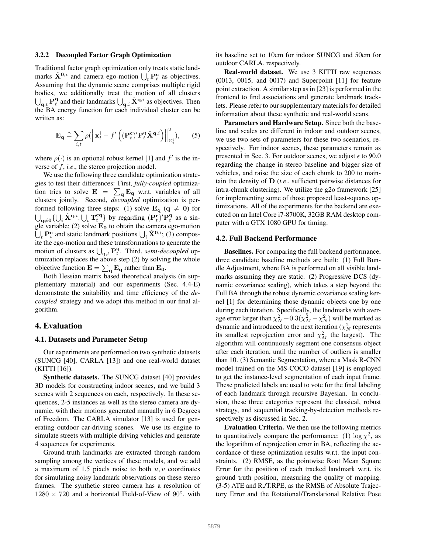#### 3.2.2 Decoupled Factor Graph Optimization

Traditional factor graph optimization only treats static landmarks  $\hat{\mathbf{X}}^{0,i}$  and camera ego-motion  $\bigcup_{t} \mathbf{P}_{t}^{\mathbf{c}}$  as objectives. Assuming that the dynamic scene comprises multiple rigid bodies, we additionally treat the motion of all clusters  $\bigcup_{\mathbf{q},t} \mathbf{P}_t^{\mathbf{q}}$  and their landmarks  $\bigcup_{\mathbf{q},i} \hat{\mathbf{X}}^{\mathbf{q},i}$  as objectives. Then the BA energy function for each individual cluster can be written as:

$$
\mathbf{E}_{\mathbf{q}} \triangleq \sum_{i,t} \rho(||\mathbf{x}_t^i - f'((\mathbf{P}_t^{\mathbf{c}})' \mathbf{P}_t^{\mathbf{q}} \hat{\mathbf{X}}^{\mathbf{q},i})||_{\Sigma_t^i}^2), \qquad (5)
$$

where  $\rho(\cdot)$  is an optional robust kernel [1] and  $f'$  is the inverse of f, *i.e*., the stereo projection model.

We use the following three candidate optimization strategies to test their differences: First, *fully-coupled* optimization tries to solve  $\mathbf{E} = \sum_{\mathbf{q}} \mathbf{E}_{\mathbf{q}}$  w.r.t. variables of all clusters jointly. Second, *decoupled* optimization is performed following three steps: (1) solve  $\mathbf{E}_{q}$  ( $q \neq 0$ ) for  $\bigcup_{\mathbf{q}\neq\mathbf{0}}\{\bigcup_i \hat{\mathbf{X}}^{\mathbf{q},i},\bigcup_t \mathbf{T}_t^{\mathbf{cq}}\}$  by regarding  $(\mathbf{P}_t^{\mathbf{c}})' \mathbf{P}_t^{\mathbf{q}}$  as a single variable; (2) solve  $E_0$  to obtain the camera ego-motion  $\dot{\bigcup}_t \mathbf{P}_t^{\mathbf{c}}$  and static landmark positions  $\bigcup_i \hat{\mathbf{X}}^{0,i}$ ; (3) composite the ego-motion and these transformations to generate the motion of clusters as  $\bigcup_{\mathbf{q},t} \mathbf{P}_t^{\mathbf{q}}$ . Third, *semi-decoupled* optimization replaces the above step (2) by solving the whole objective function  $\mathbf{E} = \sum_{\mathbf{q}} \mathbf{E}_{\mathbf{q}}$  rather than  $\mathbf{E}_{\mathbf{0}}$ .

Both Hessian matrix based theoretical analysis (in supplementary material) and our experiments (Sec. 4.4-E) demonstrate the suitability and time efficiency of the *decoupled* strategy and we adopt this method in our final algorithm.

## 4. Evaluation

#### 4.1. Datasets and Parameter Setup

Our experiments are performed on two synthetic datasets (SUNCG [40], CARLA [13]) and one real-world dataset (KITTI [16]).

Synthetic datasets. The SUNCG dataset [40] provides 3D models for constructing indoor scenes, and we build 3 scenes with 2 sequences on each, respectively. In these sequences, 2-5 instances as well as the stereo camera are dynamic, with their motions generated manually in 6 Degrees of Freedom. The CARLA simulator [13] is used for generating outdoor car-driving scenes. We use its engine to simulate streets with multiple driving vehicles and generate 4 sequences for experiments.

Ground-truth landmarks are extracted through random sampling among the vertices of these models, and we add a maximum of 1.5 pixels noise to both  $u, v$  coordinates for simulating noisy landmark observations on these stereo frames. The synthetic stereo camera has a resolution of  $1280 \times 720$  and a horizontal Field-of-View of  $90^\circ$ , with

its baseline set to 10cm for indoor SUNCG and 50cm for outdoor CARLA, respectively.

Real-world dataset. We use 3 KITTI raw sequences (0013, 0015, and 0017) and Superpoint [11] for feature point extraction. A similar step as in [23] is performed in the frontend to find associations and generate landmark tracklets. Please refer to our supplementary materials for detailed information about these synthetic and real-world scans.

Parameters and Hardware Setup. Since both the baseline and scales are different in indoor and outdoor scenes, we use two sets of parameters for these two scenarios, respectively. For indoor scenes, these parameters remain as presented in Sec. 3. For outdoor scenes, we adjust  $\epsilon$  to 90.0 regarding the change in stereo baseline and bigger size of vehicles, and raise the size of each chunk to 200 to maintain the density of D (*i.e*., sufficient pairwise distances for intra-chunk clustering). We utilize the g2o framework [25] for implementing some of those proposed least-squares optimizations. All of the experiments for the backend are executed on an Intel Core i7-8700K, 32GB RAM desktop computer with a GTX 1080 GPU for timing.

#### 4.2. Full Backend Performance

Baselines. For comparing the full backend performance, three candidate baseline methods are built: (1) Full Bundle Adjustment, where BA is performed on all visible landmarks assuming they are static. (2) Progressive DCS (dynamic covariance scaling), which takes a step beyond the Full BA through the robust dynamic covariance scaling kernel [1] for determining those dynamic objects one by one during each iteration. Specifically, the landmarks with average error larger than  $\chi_N^2 + 0.3(\chi_M^2 - \chi_N^2)$  will be marked as dynamic and introduced to the next iteration ( $\chi_N^2$  represents its smallest reprojection error and  $\chi^2_M$  the largest). The algorithm will continuously segment one consensus object after each iteration, until the number of outliers is smaller than 10. (3) Semantic Segmentation, where a Mask R-CNN model trained on the MS-COCO dataset [19] is employed to get the instance-level segmentation of each input frame. These predicted labels are used to vote for the final labeling of each landmark through recursive Bayesian. In conclusion, these three categories represent the classical, robust strategy, and sequential tracking-by-detection methods respectively as discussed in Sec. 2.

Evaluation Criteria. We then use the following metrics to quantitatively compare the performance: (1)  $\log \chi^2$ , as the logarithm of reprojection error in BA, reflecting the accordance of these optimization results w.r.t. the input constraints. (2) RMSE, as the pointwise Root Mean Square Error for the position of each tracked landmark w.r.t. its ground truth position, measuring the quality of mapping. (3-5) ATE and R./T.RPE, as the RMSE of Absolute Trajectory Error and the Rotational/Translational Relative Pose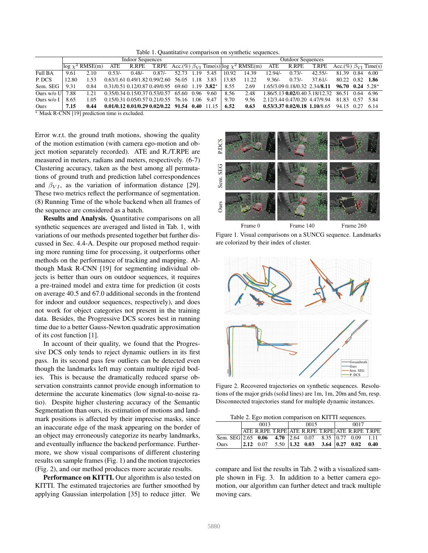Table 1. Quantitative comparison on synthetic sequences.

|                      |       | <b>Indoor Sequences</b> |          |                                           |          |       | <b>Outdoor Sequences</b> |          |       |                                                         |           |          |                                                |                                             |      |      |
|----------------------|-------|-------------------------|----------|-------------------------------------------|----------|-------|--------------------------|----------|-------|---------------------------------------------------------|-----------|----------|------------------------------------------------|---------------------------------------------|------|------|
|                      |       | $log \chi^2$ RMSE(m)    | ATE      | R.RPE                                     |          |       |                          |          |       | T.RPE Acc.(%) $\beta_{VI}$ Time(s) $log \chi^2$ RMSE(m) | ATE       | R.RPE    | <b>T.RPE</b>                                   | $\overline{Acc. (\%) \ \beta_{VI}}$ Time(s) |      |      |
| Full BA              | 9.61  | 2.10                    | $0.53/-$ | $0.48/-$                                  | $0.87/-$ | 52.73 | 1.19                     | 5.45     | 10.92 | 14.39                                                   | $12.94/-$ | $0.73/-$ | $42.55/-$                                      | 81.39                                       | 0.84 | 6.00 |
| P. DCS               | 12.80 | -53                     |          | 0.63/1.61 0.49/1.82 0.99/2.60             |          | 56.05 | 1.18                     | 3.83     | 13.85 | 11.22                                                   | $9.36/-$  | $0.73/-$ | $37.61/-$                                      | 80.22 0.82 1.86                             |      |      |
| Sem. SEG             | 9.31  | 0.84                    |          | 0.31/0.51 0.12/0.87 0.49/0.95 69.60       |          |       | 1.19                     | $3.82^*$ | 8.55  | 2.69                                                    |           |          | 1.65/3.09 0.18/0.32 2.34/8.11                  | $96.70$ 0.24 5.28*                          |      |      |
| Ours $w$ / $\circ$ U | 7.88  | 1.21                    |          | 0.35/0.34 0.15/0.37 0.53/0.57             |          | 65.60 | 0.96                     | 9.60     | 8.56  | 2.48                                                    |           |          | 1.86/5.13 0.02/0.40 3.18/12.32 86.51 0.64 6.96 |                                             |      |      |
| Ours $w$ / $\circ$ I | 8.65  | .05                     |          | 0.15/0.31 0.05/0.57 0.21/0.55             |          | 76.16 | -1.06                    | 9.47     | 9.70  | 9.56                                                    |           |          | 2.12/3.44 0.47/0.20 4.47/9.94                  | 81.83 0.57 5.84                             |      |      |
| Ours                 | 7.15  | 0.44                    |          | $0.01/0.12$ $0.01/0.29$ $0.02/0.22$ 91.54 |          |       | 0.40                     |          | 6.52  | 0.63                                                    |           |          | $0.53/3.37$ $0.02/0.18$ 1.10/8.65              | 94.15 0.27 6.14                             |      |      |

<sup>∗</sup> Mask R-CNN [19] prediction time is excluded.

Error w.r.t. the ground truth motions, showing the quality of the motion estimation (with camera ego-motion and object motion separately recorded). ATE and R./T.RPE are measured in meters, radians and meters, respectively. (6-7) Clustering accuracy, taken as the best among all permutations of ground truth and prediction label correspondences and  $\beta_{VI}$ , as the variation of information distance [29]. These two metrics reflect the performance of segmentation. (8) Running Time of the whole backend when all frames of the sequence are considered as a batch.

Results and Analysis. Quantitative comparisons on all synthetic sequences are averaged and listed in Tab. 1, with variations of our methods presented together but further discussed in Sec. 4.4-A. Despite our proposed method requiring more running time for processing, it outperforms other methods on the performance of tracking and mapping. Although Mask R-CNN [19] for segmenting individual objects is better than ours on outdoor sequences, it requires a pre-trained model and extra time for prediction (it costs on average 40.5 and 67.0 additional seconds in the frontend for indoor and outdoor sequences, respectively), and does not work for object categories not present in the training data. Besides, the Progressive DCS scores best in running time due to a better Gauss-Newton quadratic approximation of its cost function [1].

In account of their quality, we found that the Progressive DCS only tends to reject dynamic outliers in its first pass. In its second pass few outliers can be detected even though the landmarks left may contain multiple rigid bodies. This is because the dramatically reduced sparse observation constraints cannot provide enough information to determine the accurate kinematics (low signal-to-noise ratio). Despite higher clustering accuracy of the Semantic Segmentation than ours, its estimation of motions and landmark positions is affected by their imprecise masks, since an inaccurate edge of the mask appearing on the border of an object may erroneously categorize its nearby landmarks, and eventually influence the backend performance. Furthermore, we show visual comparisons of different clustering results on sample frames (Fig. 1) and the motion trajectories (Fig. 2), and our method produces more accurate results.

Performance on KITTI. Our algorithm is also tested on KITTI. The estimated trajectories are further smoothed by applying Gaussian interpolation [35] to reduce jitter. We



Figure 1. Visual comparisons on a SUNCG sequence. Landmarks are colorized by their index of cluster.



Figure 2. Recovered trajectories on synthetic sequences. Resolutions of the major grids (solid lines) are 1m, 1m, 20m and 5m, resp. Disconnected trajectories stand for multiple dynamic instances.

| Table 2. Ego motion comparison on KITTI sequences. |  |  |  |  |  |
|----------------------------------------------------|--|--|--|--|--|
|                                                    |  |  |  |  |  |

|             | 0013 |                                                                                                  |  | 0015 |  |  | 0017 |  |  |
|-------------|------|--------------------------------------------------------------------------------------------------|--|------|--|--|------|--|--|
|             |      | ATE R.RPE T.RPE ATE R.RPE T.RPE ATE R.RPE T.RPE                                                  |  |      |  |  |      |  |  |
|             |      |                                                                                                  |  |      |  |  |      |  |  |
| <b>Ours</b> |      | $\begin{array}{cccccc} 2.12 & 0.07 & 5.50 & 1.32 & 0.03 & 3.64 & 0.27 & 0.02 & 0.40 \end{array}$ |  |      |  |  |      |  |  |

compare and list the results in Tab. 2 with a visualized sample shown in Fig. 3. In addition to a better camera egomotion, our algorithm can further detect and track multiple moving cars.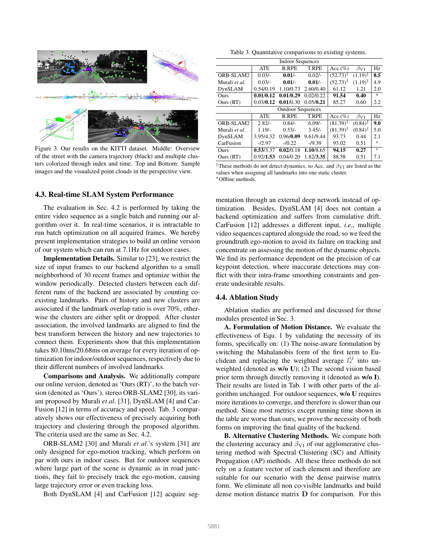

Figure 3. Our results on the KITTI dataset. Middle: Overview of the street with the camera trajectory (black) and multiple clusters colorized through index and time. Top and Bottom: Sample images and the visualized point clouds in the perspective view.

## 4.3. Real-time SLAM System Performance

The evaluation in Sec. 4.2 is performed by taking the entire video sequence as a single batch and running our algorithm over it. In real-time scenarios, it is intractable to run batch optimization on all acquired frames. We hereby present implementation strategies to build an online version of our system which can run at 7.1Hz for outdoor cases.

Implementation Details. Similar to [23], we restrict the size of input frames to our backend algorithm to a small neighborhood of 30 recent frames and optimize within the window periodically. Detected clusters between each different runs of the backend are associated by counting coexisting landmarks. Pairs of history and new clusters are associated if the landmark overlap ratio is over 70%, otherwise the clusters are either split or dropped. After cluster association, the involved landmarks are aligned to find the best transform between the history and new trajectories to connect them. Experiments show that this implementation takes 80.10ms/20.68ms on average for every iteration of optimization for indoor/outdoor sequences, respectively due to their different numbers of involved landmarks.

Comparisons and Analysis. We additionally compare our online version, denoted as 'Ours (RT)', to the batch version (denoted as 'Ours'), stereo ORB-SLAM2 [30], its variant proposed by Murali *et al*. [31], DynSLAM [4] and Car-Fusion [12] in terms of accuracy and speed. Tab. 3 comparatively shows our effectiveness of precisely acquiring both trajectory and clustering through the proposed algorithm. The criteria used are the same as Sec. 4.2.

ORB-SLAM2 [30] and Murali *et al*.'s system [31] are only designed for ego-motion tracking, which perform on par with ours in indoor cases. But for outdoor sequences where large part of the scene is dynamic as in road junctions, they fail to precisely track the ego-motion, causing large trajectory error or even tracking loss.

Both DynSLAM [4] and CarFusion [12] acquire seg-

Table 3. Quantitative comparisons to existing systems.

| <b>Indoor Sequences</b>  |                                                                         |           |              |                        |                       |         |  |  |  |  |
|--------------------------|-------------------------------------------------------------------------|-----------|--------------|------------------------|-----------------------|---------|--|--|--|--|
|                          | <b>T.RPE</b><br>Hz<br><b>ATE</b><br>R.RPE<br>$Acc.(\%)$<br>$\beta_{VI}$ |           |              |                        |                       |         |  |  |  |  |
| ORB-SLAM2                | $0.03/-$                                                                | $0.01/-$  | $0.02/-$     | $(52.73)$ <sup>†</sup> | $(1.19)$ <sup>†</sup> | 8.5     |  |  |  |  |
| Murali et al.            | $0.03/-$                                                                | $0.01/-$  | $0.01/-$     | $(52.73)$ <sup>†</sup> | $(1.19)^{\dagger}$    | 4.9     |  |  |  |  |
| DynSLAM                  | 0.54/0.19                                                               | 1.10/0.73 | 2.60/0.40    | 61.12                  | 1.21                  | 2.0     |  |  |  |  |
| Ours                     | 0.01/0.12                                                               | 0.01/0.29 | 0.02/0.22    | 91.54                  | 0.40                  | $\ast$  |  |  |  |  |
| Ours (RT)                | 0.03/0.12                                                               | 0.01/0.30 | 0.05/0.21    | 85.27                  | 0.60                  | 2.2     |  |  |  |  |
| <b>Outdoor Sequences</b> |                                                                         |           |              |                        |                       |         |  |  |  |  |
|                          | <b>ATE</b>                                                              | R.RPE     | <b>T.RPE</b> | $Acc.(\%)$             | $\beta_{VI}$          | Hz      |  |  |  |  |
| ORB-SLAM2                | $2.82/-$                                                                | $0.84/-$  | $6.09/-$     | $(81.39)^{\dagger}$    | $(0.84)$ <sup>†</sup> | 9.0     |  |  |  |  |
| Murali et al.            | $1.19/-$                                                                | $0.53/-$  | $3.45/-$     | $(81.39)$ <sup>†</sup> | $(0.84)$ <sup>†</sup> | 5.0     |  |  |  |  |
| DynSLAM                  | 3.95/4.32                                                               | 0.96/0.09 | 9.61/9.44    | 93.73                  | 0.44                  | 2.1     |  |  |  |  |
| CarFusion                | $-12.97$                                                                | $-10.22$  | $-19.39$     | 93.02                  | 0.51                  | $\star$ |  |  |  |  |
| Ours                     | 0.53/3.37                                                               | 0.02/0.18 | 1.10/8.65    | 94.15                  | 0.27                  | $\star$ |  |  |  |  |
| Ours (RT)                | 0.92/1.53                                                               | 0.04/0.20 | 1.82/3.35    | 88.58                  | 0.51                  | 7.1     |  |  |  |  |

<sup>&</sup>lt;sup>†</sup>These methods do not detect dynamics, so Acc. and  $\beta_{VI}$  are listed as the values when assigning all landmarks into one static cluster. <sup>⋆</sup>Offline methods.

mentation through an external deep network instead of optimization. Besides, DynSLAM [4] does not contain a backend optimization and suffers from cumulative drift. CarFusion [12] addresses a different input, *i.e*., multiple video sequences captured alongside the road, so we feed the groundtruth ego-motion to avoid its failure on tracking and concentrate on assessing the motion of the dynamic objects. We find its performance dependent on the precision of car keypoint detection, where inaccurate detections may conflict with their intra-frame smoothing constraints and generate undesirable results.

#### 4.4. Ablation Study

Ablation studies are performed and discussed for those modules presented in Sec. 3.

A. Formulation of Motion Distance. We evaluate the effectiveness of Equ. 1 by validating the necessity of its forms, specifically on: (1) The noise-aware formulation by switching the Mahalanobis form of the first term to Euclidean and replacing the weighted average  $l_{*}^{ij}$  into unweighted (denoted as w/o U); (2) The second vision based prior term through directly removing it (denoted as w/o I). Their results are listed in Tab. 1 with other parts of the algorithm unchanged. For outdoor sequences, w/o U requires more iterations to converge, and therefore is slower than our method. Since most metrics except running time shown in the table are worse than ours, we prove the necessity of both forms on improving the final quality of the backend.

B. Alternative Clustering Methods. We compare both the clustering accuracy and  $\beta_{VI}$  of our agglomerative clustering method with Spectral Clustering (SC) and Affinity Propagation (AP) methods. All these three methods do not rely on a feature vector of each element and therefore are suitable for our scenario with the dense pairwise matrix form. We eliminate all non co-visible landmarks and build dense motion distance matrix D for comparison. For this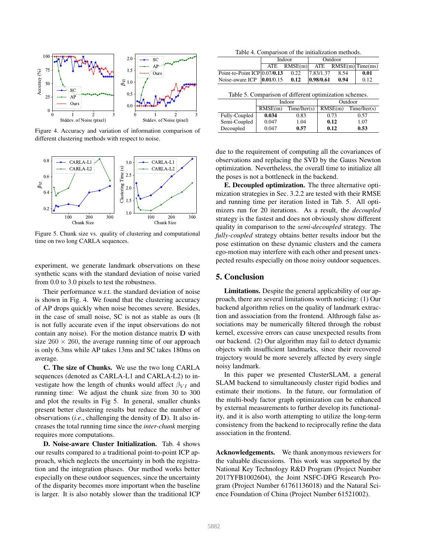

Figure 4. Accuracy and variation of information comparison of different clustering methods with respect to noise.



Figure 5. Chunk size vs. quality of clustering and computational time on two long CARLA sequences.

experiment, we generate landmark observations on these synthetic scans with the standard deviation of noise varied from 0.0 to 3.0 pixels to test the robustness.

Their performance w.r.t. the standard deviation of noise is shown in Fig. 4. We found that the clustering accuracy of AP drops quickly when noise becomes severe. Besides, in the case of small noise, SC is not as stable as ours (It is not fully accurate even if the input observations do not contain any noise). For the motion distance matrix D with size  $260 \times 260$ , the average running time of our approach is only 6.3ms while AP takes 13ms and SC takes 180ms on average.

C. The size of Chunks. We use the two long CARLA sequences (denoted as CARLA-L1 and CARLA-L2) to investigate how the length of chunks would affect  $\beta_{VI}$  and running time: We adjust the chunk size from 30 to 300 and plot the results in Fig 5. In general, smaller chunks present better clustering results but reduce the number of observations (*i.e*., challenging the density of D). It also increases the total running time since the *inter-chunk* merging requires more computations.

D. Noise-aware Cluster Initialization. Tab. 4 shows our results compared to a traditional point-to-point ICP approach, which neglects the uncertainty in both the registration and the integration phases. Our method works better especially on these outdoor sequences, since the uncertainty of the disparity becomes more important when the baseline is larger. It is also notably slower than the traditional ICP

|  |  | Table 4. Comparison of the initialization methods. |  |
|--|--|----------------------------------------------------|--|
|  |  |                                                    |  |

|                                        | Indoor           | Outdoor   |                          |      |
|----------------------------------------|------------------|-----------|--------------------------|------|
|                                        | $ATE$ RMSE $(m)$ |           | $ATE$ $RMSE(m)$ Time(ms) |      |
| Point-to-Point ICP $ 0.07/0.13\rangle$ | 0.22             | 7.83/1.37 | 8.54                     | 0.01 |
| Noise-aware ICP $ 0.01/0.15$           | 0.12             | 0.98/0.61 | 0.94                     | 0.12 |

|  | Table 5. Comparison of different optimization schemes. |  |
|--|--------------------------------------------------------|--|
|  |                                                        |  |

|               |         | Indoor       | Outdoor |              |  |
|---------------|---------|--------------|---------|--------------|--|
|               | RMSE(m) | Time/Iter(s) | RMSE(m) | Time/Iter(s) |  |
| Fully-Coupled | 0.034   | 0.83         | 0.73    | 0.57         |  |
| Semi-Coupled  | 0.047   | 1.04         | 0.12    | 1.07         |  |
| Decoupled     | 0.047   | 0.57         | 0.12    | 0.53         |  |

due to the requirement of computing all the covariances of observations and replacing the SVD by the Gauss Newton optimization. Nevertheless, the overall time to initialize all the poses is not a bottleneck in the backend.

E. Decoupled optimization. The three alternative optimization strategies in Sec. 3.2.2 are tested with their RMSE and running time per iteration listed in Tab. 5. All optimizers run for 20 iterations. As a result, the *decoupled* strategy is the fastest and does not obviously show different quality in comparison to the *semi-decoupled* strategy. The *fully-coupled* strategy obtains better results indoor but the pose estimation on these dynamic clusters and the camera ego-motion may interfere with each other and present unexpected results especially on those noisy outdoor sequences.

# 5. Conclusion

Limitations. Despite the general applicability of our approach, there are several limitations worth noticing: (1) Our backend algorithm relies on the quality of landmark extraction and association from the frontend. Althrough false associations may be numerically filtered through the robust kernel, excessive errors can cause unexpected results from our backend. (2) Our algorithm may fail to detect dynamic objects with insufficient landmarks, since their recovered trajectory would be more severely affected by every single noisy landmark.

In this paper we presented ClusterSLAM, a general SLAM backend to simultaneously cluster rigid bodies and estimate their motions. In the future, our formulation of the multi-body factor graph optimization can be enhanced by external measurements to further develop its functionality, and it is also worth attempting to utilize the long-term consistency from the backend to reciprocally refine the data association in the frontend.

Acknowledgements. We thank anonymous reviewers for the valuable discussions. This work was supported by the National Key Technology R&D Program (Project Number 2017YFB1002604), the Joint NSFC-DFG Research Program (Project Number 61761136018) and the Natural Science Foundation of China (Project Number 61521002).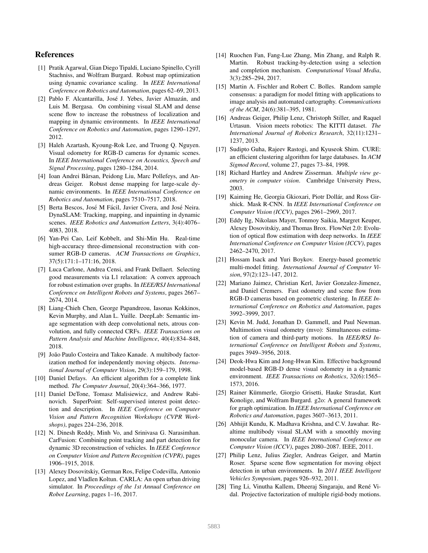# References

- [1] Pratik Agarwal, Gian Diego Tipaldi, Luciano Spinello, Cyrill Stachniss, and Wolfram Burgard. Robust map optimization using dynamic covariance scaling. In *IEEE International Conference on Robotics and Automation*, pages 62–69, 2013.
- [2] Pablo F. Alcantarilla, José J. Yebes, Javier Almazán, and Luis M. Bergasa. On combining visual SLAM and dense scene flow to increase the robustness of localization and mapping in dynamic environments. In *IEEE International Conference on Robotics and Automation*, pages 1290–1297, 2012.
- [3] Haleh Azartash, Kyoung-Rok Lee, and Truong Q. Nguyen. Visual odometry for RGB-D cameras for dynamic scenes. In *IEEE International Conference on Acoustics, Speech and Signal Processing*, pages 1280–1284, 2014.
- [4] Ioan Andrei Bârsan, Peidong Liu, Marc Pollefeys, and Andreas Geiger. Robust dense mapping for large-scale dynamic environments. In *IEEE International Conference on Robotics and Automation*, pages 7510–7517, 2018.
- [5] Berta Bescos, José M Fácil, Javier Civera, and José Neira. DynaSLAM: Tracking, mapping, and inpainting in dynamic scenes. *IEEE Robotics and Automation Letters*, 3(4):4076– 4083, 2018.
- [6] Yan-Pei Cao, Leif Kobbelt, and Shi-Min Hu. Real-time high-accuracy three-dimensional reconstruction with consumer RGB-D cameras. *ACM Transactions on Graphics*, 37(5):171:1–171:16, 2018.
- [7] Luca Carlone, Andrea Censi, and Frank Dellaert. Selecting good measurements via L1 relaxation: A convex approach for robust estimation over graphs. In *IEEE/RSJ International Conference on Intelligent Robots and Systems*, pages 2667– 2674, 2014.
- [8] Liang-Chieh Chen, George Papandreou, Iasonas Kokkinos, Kevin Murphy, and Alan L. Yuille. DeepLab: Semantic image segmentation with deep convolutional nets, atrous convolution, and fully connected CRFs. *IEEE Transactions on Pattern Analysis and Machine Intelligence*, 40(4):834–848, 2018.
- [9] João Paulo Costeira and Takeo Kanade. A multibody factorization method for independently moving objects. *International Journal of Computer Vision*, 29(3):159–179, 1998.
- [10] Daniel Defays. An efficient algorithm for a complete link method. *The Computer Journal*, 20(4):364–366, 1977.
- [11] Daniel DeTone, Tomasz Malisiewicz, and Andrew Rabinovich. SuperPoint: Self-supervised interest point detection and description. In *IEEE Conference on Computer Vision and Pattern Recognition Workshops (CVPR Workshops)*, pages 224–236, 2018.
- [12] N. Dinesh Reddy, Minh Vo, and Srinivasa G. Narasimhan. CarFusion: Combining point tracking and part detection for dynamic 3D reconstruction of vehicles. In *IEEE Conference on Computer Vision and Pattern Recognition (CVPR)*, pages 1906–1915, 2018.
- [13] Alexey Dosovitskiy, German Ros, Felipe Codevilla, Antonio Lopez, and Vladlen Koltun. CARLA: An open urban driving simulator. In *Proceedings of the 1st Annual Conference on Robot Learning*, pages 1–16, 2017.
- [14] Ruochen Fan, Fang-Lue Zhang, Min Zhang, and Ralph R. Martin. Robust tracking-by-detection using a selection and completion mechanism. *Computational Visual Media*, 3(3):285–294, 2017.
- [15] Martin A. Fischler and Robert C. Bolles. Random sample consensus: a paradigm for model fitting with applications to image analysis and automated cartography. *Communications of the ACM*, 24(6):381–395, 1981.
- [16] Andreas Geiger, Philip Lenz, Christoph Stiller, and Raquel Urtasun. Vision meets robotics: The KITTI dataset. *The International Journal of Robotics Research*, 32(11):1231– 1237, 2013.
- [17] Sudipto Guha, Rajeev Rastogi, and Kyuseok Shim. CURE: an efficient clustering algorithm for large databases. In *ACM Sigmod Record*, volume 27, pages 73–84, 1998.
- [18] Richard Hartley and Andrew Zisserman. *Multiple view geometry in computer vision*. Cambridge University Press, 2003.
- [19] Kaiming He, Georgia Gkioxari, Piotr Dollár, and Ross Girshick. Mask R-CNN. In *IEEE International Conference on Computer Vision (ICCV)*, pages 2961–2969, 2017.
- [20] Eddy Ilg, Nikolaus Mayer, Tonmoy Saikia, Margret Keuper, Alexey Dosovitskiy, and Thomas Brox. FlowNet 2.0: Evolution of optical flow estimation with deep networks. In *IEEE International Conference on Computer Vision (ICCV)*, pages 2462–2470, 2017.
- [21] Hossam Isack and Yuri Boykov. Energy-based geometric multi-model fitting. *International Journal of Computer Vision*, 97(2):123–147, 2012.
- [22] Mariano Jaimez, Christian Kerl, Javier Gonzalez-Jimenez, and Daniel Cremers. Fast odometry and scene flow from RGB-D cameras based on geometric clustering. In *IEEE International Conference on Robotics and Automation*, pages 3992–3999, 2017.
- [23] Kevin M. Judd, Jonathan D. Gammell, and Paul Newman. Multimotion visual odometry (mvo): Simultaneous estimation of camera and third-party motions. In *IEEE/RSJ International Conference on Intelligent Robots and Systems*, pages 3949–3956, 2018.
- [24] Deok-Hwa Kim and Jong-Hwan Kim. Effective background model-based RGB-D dense visual odometry in a dynamic environment. *IEEE Transactions on Robotics*, 32(6):1565– 1573, 2016.
- [25] Rainer Kümmerle, Giorgio Grisetti, Hauke Strasdat, Kurt Konolige, and Wolfram Burgard. g2o: A general framework for graph optimization. In *IEEE International Conference on Robotics and Automation*, pages 3607–3613, 2011.
- [26] Abhijit Kundu, K. Madhava Krishna, and C.V. Jawahar. Realtime multibody visual SLAM with a smoothly moving monocular camera. In *IEEE International Conference on Computer Vision (ICCV)*, pages 2080–2087. IEEE, 2011.
- [27] Philip Lenz, Julius Ziegler, Andreas Geiger, and Martin Roser. Sparse scene flow segmentation for moving object detection in urban environments. In *2011 IEEE Intelligent Vehicles Symposium*, pages 926–932, 2011.
- [28] Ting Li, Vinutha Kallem, Dheeraj Singaraju, and René Vidal. Projective factorization of multiple rigid-body motions.